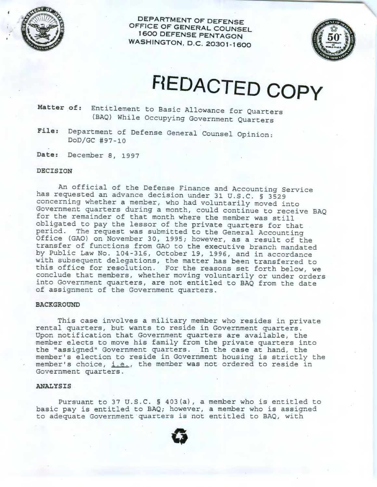

**DEPARTMENT OF DEFENSE OFFICE OF GENERAL COUNSEL 1600 DEFENSE PENTAGON WASHINGTON, D.C. 20301-1600** 



## **HEDACTED COPY**

**Matter of:** Entitlement to Basic Allowance for Quarters (BAQ} While Occupying Government Quarters

**File:** Department of Defense General Counsel Opinion: DoD/GC #97-10

**Date:** December 8, 1997

## **DECISION**

An official of the Defense Finance and Accounting Service has requested an advance decision under 31 U.S.C. § 3529 concerning whether a member, who had voluntarily moved into Government quarters during a month, could continue to receive BAQ for the remainder of that month where the member was still obligated to pay the lessor of the private quarters for that period. The request was submitted to the General Accounting Office (GAO) on November 30, 1995; however, as a result of the transfer of functions from GAO to the executive branch mandated by Public Law No. 104-316, October 19, 1996, and in accordance with subsequent delegations, the matter has been transferred to this office for resolution. For the reasons set forth below, we conclude that members, whether moving voluntarily or under orders into Government quarters, are not entitled to BAQ from the date of assignment of the Government quarters.

## **BACKGROUND**

This case involves a military member who resides in private rental quarters, but wants to reside in Government quarters. Upon notification that Government quarters are available, the member elects to move his family from the private quarters into the "assigned" Government quarters. In the case at hand, the member's election to reside in Government housing is strictly the member's choice, i.e., the member was not ordered to reside in Government quarters.

## **ANALYSIS**

Pursuant to 37 U.S.C. § 403(a), a member who is entitled to basic pay is entitled to BAQ; however, a member who is assigned to adequate Government quarters is not entitled to BAQ, with